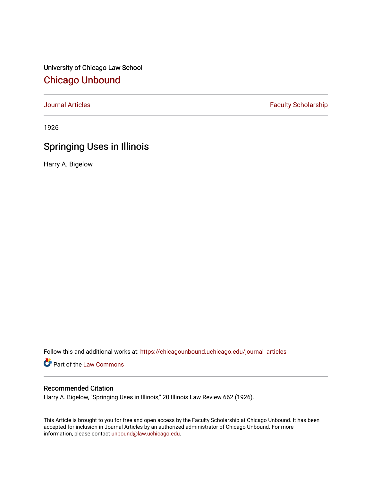University of Chicago Law School [Chicago Unbound](https://chicagounbound.uchicago.edu/)

[Journal Articles](https://chicagounbound.uchicago.edu/journal_articles) **Faculty Scholarship Faculty Scholarship** 

1926

## Springing Uses in Illinois

Harry A. Bigelow

Follow this and additional works at: [https://chicagounbound.uchicago.edu/journal\\_articles](https://chicagounbound.uchicago.edu/journal_articles?utm_source=chicagounbound.uchicago.edu%2Fjournal_articles%2F7577&utm_medium=PDF&utm_campaign=PDFCoverPages) 

Part of the [Law Commons](http://network.bepress.com/hgg/discipline/578?utm_source=chicagounbound.uchicago.edu%2Fjournal_articles%2F7577&utm_medium=PDF&utm_campaign=PDFCoverPages)

## Recommended Citation

Harry A. Bigelow, "Springing Uses in Illinois," 20 Illinois Law Review 662 (1926).

This Article is brought to you for free and open access by the Faculty Scholarship at Chicago Unbound. It has been accepted for inclusion in Journal Articles by an authorized administrator of Chicago Unbound. For more information, please contact [unbound@law.uchicago.edu](mailto:unbound@law.uchicago.edu).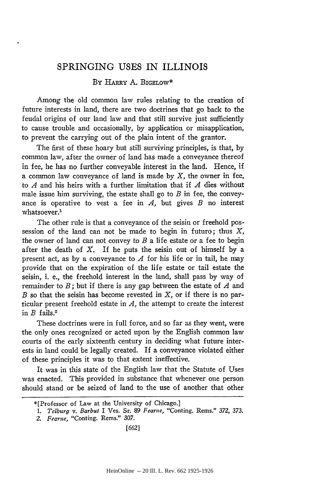## SPRINGING **USES** IN ILLINOIS

## BY HARRY A. BIGELOW\*

Among the old common law rules relating to the creation of future interests in land, there are two doctrines that go back to the feudal origins of our land law and that still survive just sufficiently to cause trouble and occasionally, by application or misapplication, to prevent the carrying out of the plain intent of the grantor.

The first of these hoary but still surviving principles, is that, by common law, after the owner of land has made a conveyance thereof in fee, he has no further conveyable interest in the land. Hence, if a common law conveyance of land is made by  $X$ , the owner in fee, to *A* and his heirs with a further limitation that if *A* dies without male issue him surviving, the estate shall go to  $B$  in fee, the conveyance is operative to vest a fee in *A,* but gives *B* no interest whatsoever.<sup>1</sup>

The other rule is that a conveyance of the seisin or freehold possession of the land can not be made to begin in futuro; thus  $X$ , the owner of land can not convey to  $B$  a life estate or a fee to begin after the death of *X.* If he puts the seisin out of himself **by** a present act, as **by** a conveyance to *A* for his life or in tail, he may provide that on the expiration of the life estate or tail estate the seisin, i. e., the freehold interest in the land, shall pass **by** way of remainder to *B;* but if there is any gap between the estate of *A* and *B* so that the seisin has become revested in *X,* or if there is no particular present freehold estate in *A,* the attempt to create the interest in *B* fails.<sup>2</sup>

These doctrines were in full force, and so far as they went, were the only ones recognized or acted upon **by** the English common law courts of the early sixteenth century in deciding what future interests in land could be legally created. If a conveyance violated either of these principles it was to that extent ineffective.

It was in this state of the English law that the Statute of Uses was enacted. This provided in substance that whenever one person should stand or be seized of land to the use of another that other

<sup>\*[</sup>Professor of Law at the University of Chicago.]

*<sup>1.</sup> Telburg v. Barbut* I Ves. Sr. 89 *Fearne,* "Conting. Rems." 372, 373.

<sup>2.</sup> Fearne, "Conting. Rems." 307.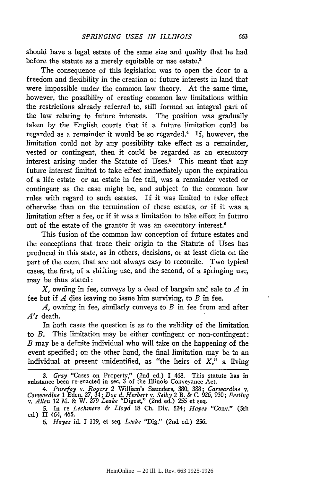should have a legal estate of the same size and quality that he had before the statute as a merely equitable or use estate.<sup>3</sup>

The consequence of this legislation was to open the door to a freedom and flexibility in the creation of future interests in land that were impossible under the common law theory. At the same time, however, the possibility of creating common law limitations within the restrictions already referred to, still formed an integral part of the law relating to future interests. The position was gradually taken by the English courts that if a future limitation could be regarded as a remainder it would be so regarded.<sup>4</sup> If, however, the limitation could not by any possibility take effect as a remainder, vested or contingent, then it could be regarded as an executory interest arising under the Statute of Uses.<sup>5</sup> This meant that any future interest limited to take effect immediately upon the expiration of a life estate or an estate in fee tail, was a remainder vested or contingent as the case might be, and subject to the common law rules with regard to such estates. If it was limited to take effect otherwise than on the termination of these estates, or if it was a limitation after a fee, or if it was a limitation to take effect in futuro out of the estate of the grantor it was an executory interest.<sup>6</sup>

This fusion of the common law conception of future estates and the conceptions that trace their origin to the Statute of Uses has produced in this state, as in others, decisions, or at least dicta on the part of the court that are not always easy to reconcile. Two typical cases, the first, of a shifting use, and the second, of a springing use, may be thus stated:

X, owiing in fee, conveys by a deed of bargain and sale to *A* in fee but if *A* dies leaving no issue him surviving, to *B* in fee.

*A,* owning in fee, similarly conveys to *B* in fee from and after *A's* death.

In both cases the question is as to the validity of the limitation to *B.* This limitation may be either contingent or non-contingent: *B* may be a definite individual who will take on the happening of the event specified; on the other hand, the final limitation may be to an individual at present unidentified, as "the heirs of *X,"* a living

*<sup>3.</sup> Gray* "Cases on Property," (2nd ed.) I 468. This statute has in substance been re-enacted in sec. 3 of the Illinois Conveyance Act.

<sup>4.</sup> Purefoy v. Rogers 2 William's Saunders, 380, 388; Carwardine v. Carwardine 1 Eden. 27, 34; Doe d. Herbert v. Selby 2 B. & C. 926, 930; Festing v. Allen 12 M. & W. 279 Leake "Digest," (2nd ed.) 255 et seq.

<sup>5.</sup> In re *Lechinere & Lloyd* 18 Ch. Div. 524; *Hayes* "Cony." (5th ed.) II 464, 465.

*<sup>6.</sup> Hayes* id. I 119, et seq. *Leake* "Dig." (2nd ed.) 256.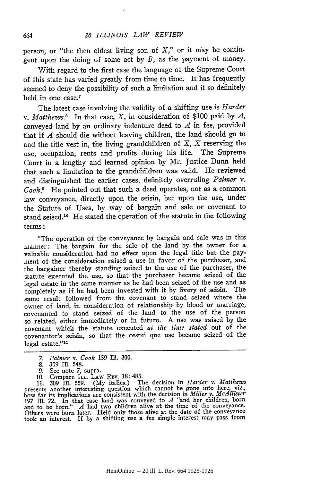person, or "the then oldest living son of *X,"* or it may be contingent upon the doing of some act **by** *B,* as the payment of money.

With regard to the first case the language of the Supreme Court of this state has varied greatly from time to time. It has frequently seemed to deny the possibility of such a limitation and it so definitely held in one case.<sup>7</sup>

The latest case involving the validity of a shifting use is *Harder v. Matthews.8* In that case, X, in consideration of \$100 paid **by** *A,* conveyed land **by** an ordinary indenture deed to *A* in fee, provided that if *A* should die without leaving children, the land should go to and the title vest in, the living grandchildren of *X, X* reserving the use, occupation, rents and profits during his life. The Supreme Court in a lengthy and learned opinion **by** Mr. Justice Dunn held that such a limitation to the grandchildren was valid. He reviewed and distinguished the earlier cases, definitely overruling *Palmer v.* Cook.' He pointed out that such a deed operates, not as a common law conveyance, directly upon the seisin, but upon the use, under the Statute of Uses, **by** way of bargain and sale or covenant to stand seised.<sup>10</sup> He stated the operation of the statute in the following terms **:**

"The operation of the conveyance **by** bargain and sale was in this manner: The bargain for the sale of the land **by** the owner for a valuable consideration had no effect upon the legal title but the payment of the consideration raised a use in favor of the purchaser, and the bargainer thereby standing seized to the use of the purchaser, the statute executed the use, so that the purchaser became seized of the legal estate in the same manner as he had been seized of the use and as completely as if he had been invested with it **by** livery of seisin. The same result followed from the covenant to stand seized where the owner of land, in consideration of relationship **by** blood or marriage, covenanted to stand seized of the land to the use of the person so related, either immediately or in futuro. A use was raised **by** the covenant which the statute executed *at the time stated* out of the covenantor's seisin, so that the cestui que use became seized of the  $legal$  estate." $11$ 

- 8. 309 Ill. 548.
- *9.* See note *7,* supra.
- 10. Compare ILL. LAW REV. 18:485.

11. 309 Ill. 559. (My italics.) The decision in *Harder* v. *Matthews* presents another interesting question which cannot be gone into here, viz.,<br>how far its implications are consistent with the decision in *Miller* v. *McAllister*<br>197 III. 72. In that case land was conveyed to  $A$  "and her Others were born later. Held only those alive at the date of the conveyance took an interest. If by a shifting use a fee simple interest may pass from

*<sup>7.</sup> Palmer v. Cook 159* **I1.** 300.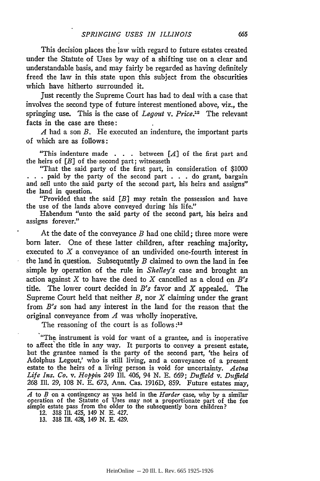This decision places the law with regard to future estates created under the Statute of Uses by way of a shifting use on a clear and understandable basis, and may fairly be regarded as having definitely freed the law in this state upon this subject from the obscurities which have hitherto surrounded it.

Just recently the Supreme Court has had to deal with a case that involves the second type of future interest mentioned above, viz., the springing use. This is the case of *Legout v. Price.12* The relevant facts in the case are these:

*A* had a son *B.* He executed an indenture, the important parts of which are as follows:

"This indenture made . **. .** between [A] of the first part and the heirs of *[B]* of the second part; witnesseth

"That the said party of the first part, in consideration of \$1000 **. . .** paid by the party of the second part . . . do grant, bargain and sell unto the said party of the second part, his heirs and assigns" the land in question.

"Provided that the said *[B]* may retain the possession and have the use of the lands above conveyed during his life."

Habendum "unto the said party of the second part, his heirs and assigns forever."

At the date of the conveyance *B* had one child; three more were born later. One of these latter children, after reaching majority, executed to *X* a conveyance of an undivided one-fourth interest in the land in question. Subsequently *B* claimed to own the land in fee simple by operation of the rule in *Shelley's* case and brought an action against X to have the deed to X cancelled as a cloud on *B's* title. The lower court decided in *B's* favor and X appealed. The Supreme Court held that neither *B,* nor X claiming under the grant from *B's* son had any interest in the land for the reason that the original conveyance from *A* was wholly inoperative.

The reasoning of the court is as follows **:13**

"The instrument is void for want of a grantee, and is inoperative to affect'the title in any way. It purports to convey a present estate, but the grantee named is the party of the second part, 'the heirs of Adolphus Legout,' who is still living, and a conveyance of a present estate to the heirs of a living person is void for uncertainty. *Aetna Life Ins. Co. v. Hoppin* 249 Ill. 406, *94* **N. E.** 669; *Duffield v. Duffield* **268** Ill. 29, 108 **N. E.** 673, Ann. Cas. 1916D, **859.** Future estates may,

*A* to *B* on a contingency as was held in the *Harder* case, why **by** a similar operation of the Statute of Uses may not a proportionate part of the fee simple estate pass from the older to the subsequently born children?

<sup>12. 318</sup> **Il1.** 425, 149 N **E.** 427.

**<sup>13.</sup>** 318 Ill. *428,* 149 **N. E.** 429.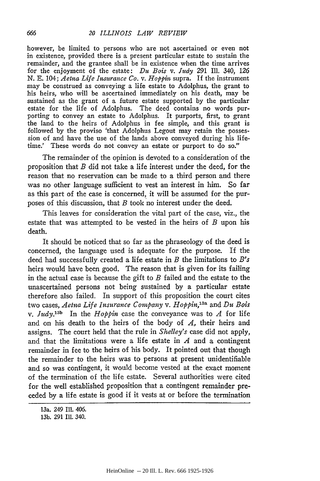however, be limited to persons who are not ascertained or even not in existence, provided there is a present particular estate to sustain the remainder, and the grantee shall be in existence when the time arrives for the enjoyment of the estate: **Du** *Bois v. Judy* 291 Ill. 340, 126 **N. E.** 104; *Aetna Life Insurance Co. v. Hoppin* supra. If the instrument may be construed as conveying a life estate to Adolphus, the grant to his heirs, who will be ascertained immediately on his death, may be sustained as the grant of a future estate supported **by** the particular estate for the life of Adolphus. The deed contains no words purporting to convey an estate to Adolphus. It purports, first, to grant the land to the heirs of Adolphus in fee simple, and this grant is followed **by** the proviso 'that Adolphus Legout may retain the possession of and have the use of the lands above conveyed during his lifetime.' These words do not convey an estate or purport to do so."

The remainder of the opinion is devoted to a consideration of the proposition that *B* did not take a life interest under the deed, for the reason that no reservation can be made to a third person and there was no other language sufficient to vest an interest in him. So far as this part of the case is concerned, it will be assumed for the purposes of this discussion, that *B* took no interest under the deed.

This leaves for consideration the vital part of the case, viz., the estate that was attempted to be vested in the heirs of *B* upon his death.

It should be noticed that so far as the phraseology of the deed is concerned, the language used is adequate for the purpose. If the deed had successfully created a life estate in *B* the limitations to *B's* heirs would have been good. The reason that is given for its failing in the actual case is because the gift to *B* failed and the estate to the unascertained persons not being sustained **by** a particular estate therefore also failed. In support of this proposition the court cites two cases, *Aetna Life Insurance Company* v. *Hoppin,13 a* and Du *Bois* v. *Judy*<sup>13b</sup> In the *Hoppin* case the conveyance was to *A* for life and on his death to the heirs of the body of *A,* their heirs and assigns. The court held that the rule in *Shelley's* case did not apply, and that the limitations were a life estate in *A* and a contingent remainder in fee to the heirs of his body. It pointed out that though the remainder to the heirs was to persons at present unidentifiable and so was contingent, it would become vested at the exact moment of the termination of the life estate. Several authorities were cited for the well established proposition that a contingent remainder preceded by a life estate is good if it vests at or before the termination

666

<sup>13</sup>a. 249 Ill. 406.

<sup>13</sup>b. 291 Ill. 340.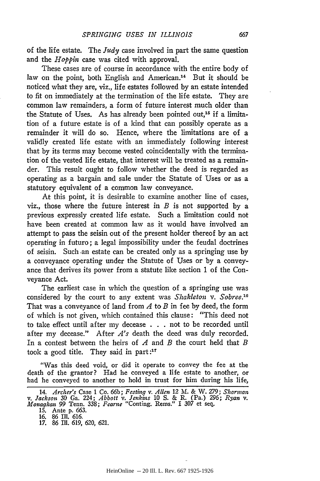of the life estate. The *Judy* case involved in part the same question and the *Hoppin* case was cited with approval.

These cases are of course in accordance with the entire body of law on the point, both English and American.<sup>14</sup> But it should be noticed what they are, viz., life estates followed **by** an estate intended to fit on immediately at the termination of the life estate. They are common law remainders, a form of future interest much older than the Statute of Uses. As has already been pointed out,<sup>15</sup> if a limitation of a future estate is of a kind that can possibly operate as a remainder it will do so. Hence, where the limitations are of a validly created life estate with an immediately following interest that **by** its terms may become vested coincidentally with the termination of the vested life estate, that interest will be treated as a remainder. This result ought to follow whether the deed is regarded as operating as a bargain and sale under the Statute of Uses or as a statutory equivalent of a common law conveyance.

At this point, it is desirable to examine another line of cases, viz., those where the future interest in *B* is not supported **by** a previous expressly created life estate. Such a limitation could not have been created at common law as it would have involved an attempt to pass the seisin out of the present holder thereof **by** an act operating in futuro; a legal impossibility under the feudal doctrines of seisin. Such an estate can be created only as a springing use **by** a conveyance operating under the Statute of Uses or **by** a conveyance that derives its power from a statute like section 1 of the Conveyance Act.

The earliest case in which the question of a springing use was considered **by** the court to any extent was *Shakleton v. Sobree.'* That was a conveyance of land from *A* to *B* in fee **by** deed, the form of which is not given, which contained this clause: "This deed not to take effect until after my decease **. . .** not to be recorded until after my decease." After *A's* death the deed was duly recorded. In a contest between the heirs of *A* and *B* the court held that *B* took a good title. They said in part: $17$ 

"Was this deed void, or did it operate to convey the fee at the death of the grantor? Had he conveyed a life estate to another, or had he conveyed to another to hold in trust for him during his life,

<sup>14.</sup> Archer's Case 1 Co. 66b; Festing v. Allen 12 M. & W. 279; Sharman<br>v. Jackson 30 Ga. 224; Abbott v. Jenkins 10 S. & R. (Pa.) 296; Ryan v.<br>Monaghan 99 Tenn. 338; Fearne "Conting. Rems." I 307 et seq.

<sup>15.</sup> Ante p. 663.

<sup>16. 86</sup> **I1.** 616.

<sup>17. 86</sup> Ill. 619, 620, 621.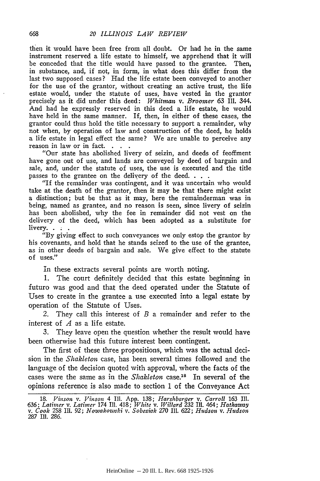then it would have been free from all doubt. Or had he in the same instrument reserved a life estate to himself, we apprehend that it will be conceded that the title would have passed to the grantee. Then, in substance, and, if not, in form, in what does this differ from the last two supposed cases? Had the life estate been conveyed to another for the use of the grantor, without creating an active trust, the life estate would, under the statute of uses, have vested in the grantor precisely as it did under this deed: *Whitman v. Broomer 63* Ill. 344. And had he expressly reserved in this deed a life estate, he would have held in the same manner. If, then, in either of these cases, the grantor could thus hold the title necessary to support a remainder, why not when, by operation of law and construction of the deed, he holds a life estate in legal effect the same? We are unable to perceive any reason in law or in fact.

"Our state has abolished livery of seizin, and deeds of feoffment have gone out of use, and lands are conveyed by deed of bargain and sale, and, under the statute of uses, the use is executed and the title passes to the grantee on the delivery of the deed. . . .

"If the remainder was contingent, and it was uncertain who would take at the death of the grantor, then it may be that there might exist a distinction; but be that as it may, here the remainderman was in being, named as grantee, and no reason is seen, since livery of seizin has been abolished, why the fee in remainder did not vest on the delivery of the deed, which has been adopted as a substitute for livery.. **. .**

"By giving effect to such conveyances we only estop the grantor by his covenants, and hold that he stands seized to the use of the grantee, as in other deeds of bargain and sale. We give effect to the statute of uses."

In these extracts several points are worth noting.

1. The court definitely decided that this estate beginning in futuro was good and that the deed operated under the Statute of Uses to create in the grantee a use executed into a legal estate by operation of the Statute of Uses.

2. They call this interest of *B* a remainder and refer to the interest of *A* as a life estate.

3. They leave open the question whether the result would have been otherwise had this future interest been contingent.

The first of these three propositions, which was the actual decision in the *Shakleton* case, has been several times followed and the language of the decision quoted with approval, where the facts of the cases were the same as in the *Shakleton* case.<sup>18</sup> In several of the opinions reference is also made to section 1 of the Conveyance Act

<sup>18.</sup> *Vinson v. Vinson* 4 Ill. App. **138;** *Harshbarger v. Carroll 163* Ill. 636; Latimer v. Latimer 174 111. 418; White v. Willard 232 111. 464; Hathaway<br>v. Cook 258 111. 92; Nowakowski v. Sobeziak 270 111. 622; Hudson v. Hudson **287** Ill. **286.**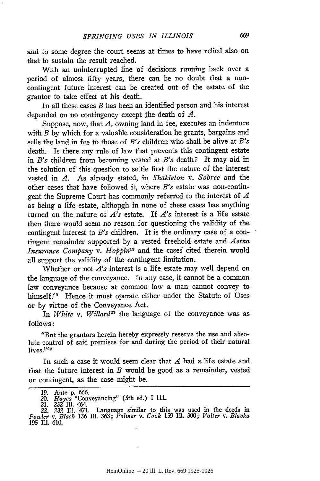and to some degree the court seems at times to have relied also on that to sustain the result reached.

With an uninterrupted line of decisions running back over a period of almost fifty years, there can be no doubt that a noncontingent future interest can be created out of the estate of the grantor to take effect at his death.

In all these cases *B* has been an identified person and his interest depended on no contingency except the death of *A.*

Suppose, now, that *A,* owning land in fee, executes an indenture with *B* by which for a valuable consideration he grants, bargains and sells the land in fee to those of *B's* children who shall be alive at *B's* death. Is there any rule of law that prevents this contingent estate in *B's* children from becoming vested at *B's* death? It may aid in the solution of this question to settle first the nature of the interest vested in *A.* As already stated, in *Shakleton v. Sobree* and the other cases that have followed it, where *B's* estate was non-contingent the Supreme Court has commonly referred to the interest of *A* as being a life estate, although in none of these cases has anything turned on the nature of *A's* estate. If *A's* interest is a life estate then there would seem no reason for questioning the validity of the contingent interest to *B's* children. It is the ordinary case of a contingent remainder supported by a vested freehold estate and *Aetna Insurance Company v. Hoppin*<sup>19</sup> and the cases cited therein would all support the validity of the contingent limitation.

Whether or not *A's* interest is a life estate may well depend on the language of the conveyance. In any case, it cannot be a common law conveyance because at common law a man cannot convey to himself.<sup>20</sup> Hence it must operate either under the Statute of Uses or by virtue of the Conveyance Act.

In White v. Willard<sup>21</sup> the language of the conveyance was as follows:

"But the grantors herein hereby expressly reserve the use and absolute control of said premises for and during the period of their natural lives."22

In such a case it would seem clear that *A* had a life estate and that the future interest in *B* would be good as a remainder, vested or contingent, as the case might be.

<sup>19.</sup> Ante p. 666.<br>
20. *Hayes* "Conveyancing" (5th ed.) I 111.<br>
21. 232 III. 464.<br>
22. 232 III. 471. Language similar to this was used in the deeds in<br> *Fowler* v. *Black* 136 III. 363; *Palmer* v. *Cook* 159 III. 300; *Va*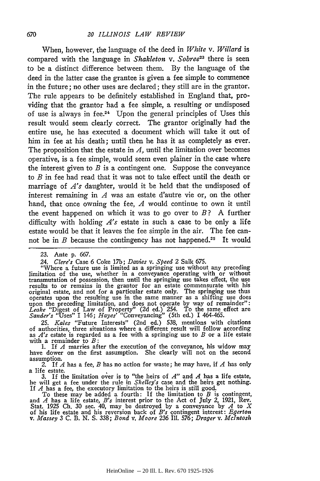When, however, the language of the deed in *White v. Willard* is compared with the language in *Shakleton v. Sobree23* there is seen to be a distinct difference between them. By the language of the deed in the latter case the grantee is given a fee simple to commence in the future; no other uses are declared; they still are in the grantor. The rule appears to be definitely established in England that, providing that the grantor had a fee simple, a resulting or undisposed of use is always in fee.24 Upon the general principles of Uses this result would seem clearly correct. The grantor originally had the entire use, he has executed a document which will take it out of him in fee at his death; until then he has it as completely as ever. The proposition that the estate in *A,* until the limitation over becomes operative, is a fee simple, would seem even plainer in the case where the interest given to *B* is a contingent one. Suppose the conveyance to *B* in fee had read that it was not to take effect until the death or marriage of *A's* daughter, would it be held that the undisposed of interest remaining in *A* was an estate d'autre vie or, on the other hand, that once owning the fee, *A* would continue to own it until the event happened on which it was to go over to *B?* A further difficulty with holding *A's* estate in such a case to be only a life estate would be that it leaves the fee simple in the air. The fee cannot be in  $B$  because the contingency has not happened.<sup>25</sup> It would

"Where a future use is limited as a springing use without any preceding limitation of the use, whether in a conveyance operating with or without transmutation of possession, then until the springing use takes effect, the use results to or remains in the grantor for an estate commensurate with his original estate, and not for a particular estate only. The springing use thus<br>operates upon the resulting use in the same manner as a shifting use does<br>upon the preceding limitation, and does not operate by way of remainde

*25. Kales* "Future Interests" (2nd ed.) 538, mentions with citations of authorities, three situations where a different result will follow according as *A's* estate is regarded as a fee with a springing use to *B* or a life estate with a remainder to *B:*

1. If *A* marries after the execution of the conveyance, his widow may have dower on the first assumption. She clearly will not on the second

assumption. *2.* If *A* has a fee, *B* has no action for waste; he may have, if *A* has only a life estate.

3. If the limitation over is to "the heirs of *A"* and *A* has a life estate, he will get a fee under the rule in *Shelley's* case and the heirs get nothing. If *A* has a fee, the executory limitation to the heirs is still good.

To these may be added a fourth: If the limitation to B is contingent,<br>and A has a life estate, B's interest prior to the Act of July 2, 1921, Rev.<br>Stat. 1925 Ch. 30 sec. 40, may be destroyed by a conveyance by A to X of his life estate and his reversion back of *B's* contingent interest: *Egerton v. Massey* **3 C.** B. **N. S. 338;** *Bond v. Moore 236* Ill. 576; *Drager v. McIntosh*

<sup>23.</sup> Ante **p.** 667.

*<sup>24.</sup> Clere's* Case 6 Coke 17b; *Davies v. Speed* 2 Salk 675.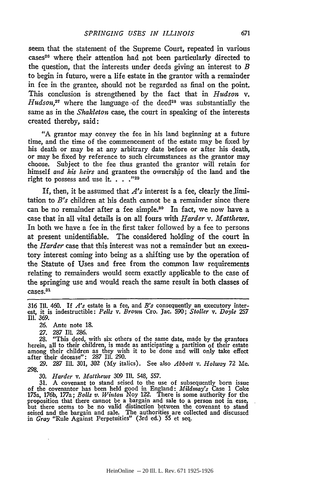seem that the statement of the Supreme Court, repeated in various cases<sup>26</sup> where their attention had not been particularly directed to the question, that the interests under deeds giving an interest to *B* to begin in futuro, were a life estate in the grantor with a remainder in fee in the grantee, should not be regarded as final on the point. This conclusion is strengthened by the fact that in *Hudson v. Hudson*,<sup>27</sup> where the language of the deed<sup>28</sup> was substantially the same as in the *Shakleton* case, the court in speaking of the interests created thereby, said:

"A grantor may convey the fee in his land beginning at a future time, and the time of the commencement of the estate may be fixed by his death or may be at any arbitrary date before or after his death, or may be fixed by reference to such circumstances as the grantor may choose. Subject to the fee thus granted the grantor will retain for himself *and his heirs* and grantees the ownership of the land and the right to possess and use it. **. 29**

If, then, it be assumed that  $A$ 's interest is a fee, clearly the limitation to *B's* children at his death cannot be a remainder since there can be no remainder after a fee simple.<sup>30</sup> In fact, we now have a case that in all vital details is on all fours with *Harder v. Matthews.* In both we have a fee in the first taker followed by a fee to persons at present unidentifiable. The considered holding of the court in the *Harder* case that this interest was not a remainder but an executory interest coming into being as a shifting use by the operation of the Statute of Uses and free from the common law requirements relating to remainders would seem exactly applicable to the case of the springing use and would reach the same result in both classes of cases.<sup>31</sup>

**26.** Ante note 18.

**27.** 287 **IlL** 286.

28. "This deed, with six others of the same date, made **by** the grantors herein, all to their children, is made as anticipating a partition of their estate among their children as they wish it to be done and will only take effect after their decease": 287 Ill. 290.

29. 287 I1. 301, **302** (My italics). See also *Abbott v. Holway* 72 Me. 298.

**30.** *Harder v. Matthews* **309** Ill. 548, 557.

31. A covenant to stand seised to the use of subsequently born issue<br>of the covenantor has been held good in England:  $Midmay's$  Case 1 Coke<br>175a, 176b, 177a; *Bolls v. Winton* Noy 122. There is some authority for the<br>proposit but there seems to be no valid distinction between the covenant to stand seised and the bargain and sale. The authorities are collected and discussed in *Gray* "Rule Against Perpetuities" (3rd ed.) 55 et seq.

<sup>316</sup> Ill. 460. If *A's* estate is a fee, and B's consequently an executory inter-est, it is indestructible: *Pells v. Brown* Cro. Jac. 590; *Stoller v. Doyle 257* Ill. 369.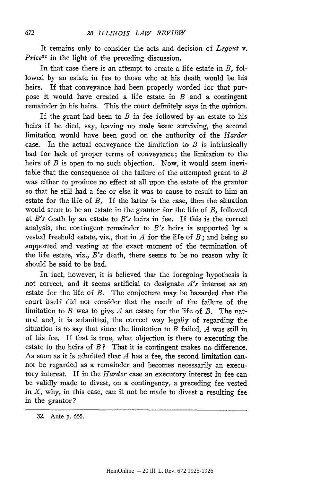It remains only to consider the acts and decision of *Legout v. Price32* in the light of the preceding discussion.

In that case there is an attempt to create a life estate in *B,* followed by an estate in fee to those who at his death would be his heirs. If that conveyance had been properly worded for that purpose it would have created a life estate in *B* and a contingent remainder in his heirs. This the court definitely says in the opinion.

If the grant had been to *B* in fee followed by an estate to his heirs if he died, say, leaving no male issue surviving, the second limitation would have been good on the authority of the *Harder* case. In the actual conveyance the limitation to *B* is intrinsically bad for lack of proper terms of conveyance; the limitation to the heirs of *B* is open to no such objection. Now, it would seem inevitable that the consequence of the failure of the attempted grant to *B* was either to produce no effect at all upon the estate of the grantor so that he still had a fee or else it was to cause to result to him an estate for the life of *B.* If the latter is the case, then the situation would seem to be an estate in the grantor for the life of *B,* followed at *B's* death by an estate to *B's* heirs in fee. If this is the correct analysis, the contingent remainder to *B's* heirs is supported by a vested freehold estate, viz., that in *A* for the life of *B;* and being so supported and vesting at the exact moment of the termination of the life estate, viz., *B's* death, there seems to be no reason why it should be said to be bad.

In fact, however, it is believed that the foregoing hypothesis is not correct, and it seems artificial to designate *A's* interest as an estate for the life of *B.* The conjecture may be hazarded that the court itself did not consider that the result of the failure of the limitation to *B* was to give *A* an estate for the life of *B.* The natural and, it is submitted, the correct way legally of regarding the situation is to say that since the limitation to *B* failed, *A* was still in of his fee. If that is true, what objection is there to executing the estate to the heirs of *B?* That it is contingent makes no difference. As soon as it is admitted that  $A$  has a fee, the second limitation cannot be regarded as a remainder and becomes necessarily an executory interest. If in the *Harder* case an executory interest in fee can be validly made to divest, on a contingency, a preceding fee vested in *X,* why, in this case, can it not be made to divest a resulting fee in the grantor?

<sup>32.</sup> Ante **p.** *665.*